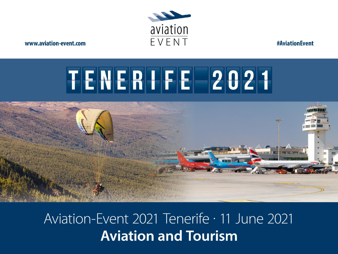

**#AviationEvent** 

# TENERIFE 2021



Aviation-Event 2021 Tenerife · 11 June 2021 **Aviation and Tourism**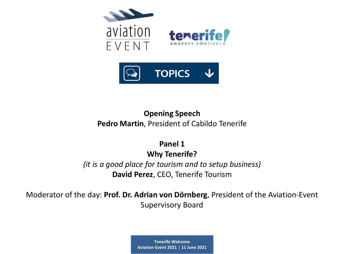

# **Opening Speech Pedro Martin**, President of Cabildo Tenerife

**Panel 1 Why Tenerife?**  *(it is a good place for tourism and to setup business)* **David Perez**, CEO, Tenerife Tourism

Moderator of the day: **Prof. Dr. Adrian von Dörnberg**, President of the Aviation-Event Supervisory Board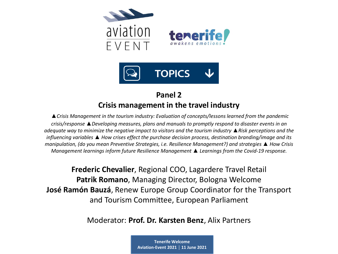

# **Panel 2 Crisis management in the travel industry**

*▲Crisis Management in the tourism industry: Evaluation of concepts/lessons learned from the pandemic crisis/response ▲Developing measures, plans and manuals to promptly respond to disaster events in an adequate way to minimize the negative impact to visitors and the tourism industry ▲Risk perceptions and the influencing variables ▲ How crises effect the purchase decision process, destination branding/image and its manipulation, (do you mean Preventive Strategies, i.e. Resilience Management?) and strategies ▲ How Crisis Management learnings inform future Resilience Management ▲ Learnings from the Covid-19 response.* 

**Frederic Chevalier**, Regional COO, Lagardere Travel Retail **Patrik Romano**, Managing Director, Bologna Welcome **José Ramón Bauzá**, Renew Europe Group Coordinator for the Transport and Tourism Committee, European Parliament

Moderator: **Prof. Dr. Karsten Benz**, Alix Partners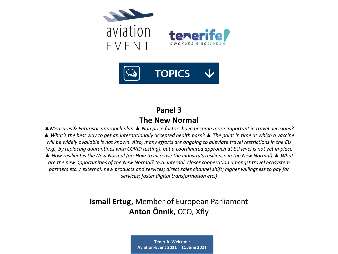

# **Panel 3 The New Normal**

*▲Measures & Futuristic approach plan ▲ Non price factors have become more important in travel decisions? ▲ What's the best way to get an internationally accepted health pass? ▲ The point in time at which a vaccine will be widely available is not known. Also, many efforts are ongoing to alleviate travel restrictions in the EU (e.g., by replacing quarantines with COVID testing), but a coordinated approach at EU level is not yet in place ▲ How resilient is the New Normal (or: How to increase the industry's resilience in the New Normal) ▲ What are the new opportunities of the New Normal? (e.g. internal: closer cooperation amongst travel ecosystem partners etc. / external: new products and services; direct sales channel shift; higher willingness to pay for services; faster digital transformation etc.)*

# **Ismail Ertug,** Member of European Parliament **Anton Õnnik**, CCO, Xfly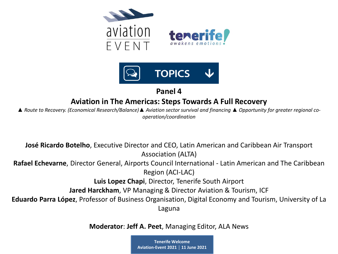



# **Aviation in The Americas: Steps Towards A Full Recovery**

*▲ Route to Recovery. (Economical Research/Balance)▲ Aviation sector survival and financing ▲ Opportunity for greater regional cooperation/coordination*

**José Ricardo Botelho**, Executive Director and CEO, Latin American and Caribbean Air Transport Association (ALTA)

**Rafael Echevarne**, Director General, Airports Council International - Latin American and The Caribbean Region (ACI-LAC)

**Luis Lopez Chapi**, Director, Tenerife South Airport

**Jared Harckham**, VP Managing & Director Aviation & Tourism, ICF

**Eduardo Parra López**, Professor of Business Organisation, Digital Economy and Tourism, University of La Laguna

**Moderator**: **Jeff A. Peet**, Managing Editor, ALA News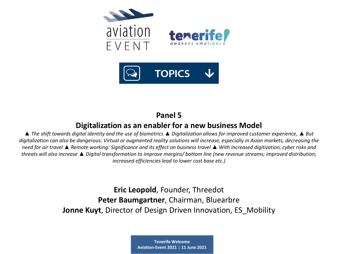

## **Digitalization as an enabler for a new business Model**

*▲ The shift towards digital identity and the use of biometrics ▲ Digitalization allows for improved customer experience, ▲ But digitalization can also be dangerous: Virtual or augmented reality solutions will increase, especially in Asian markets, decreasing the need for air travel ▲ Remote working: Significance and its effect on business travel ▲ With increased digitization, cyber risks and threats will also increase ▲ Digital transformation to improve margins/ bottom line (new revenue streams; improved distribution; increased efficiencies lead to lower cost base etc.)*

> **Eric Leopold**, Founder, Threedot **Peter Baumgartner**, Chairman, Bluearbre **Jonne Kuyt**, Director of Design Driven Innovation, ES\_Mobility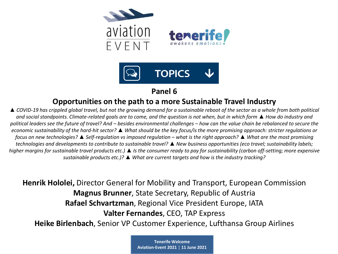

### **Opportunities on the path to a more Sustainable Travel Industry**

*▲ COVID-19 has crippled global travel, but not the growing demand for a sustainable reboot of the sector as a whole from both political and social standpoints. Climate-related goals are to come, and the question is not when, but in which form ▲ How do industry and political leaders see the future of travel? And – besides environmental challenges – how can the value chain be rebalanced to secure the economic sustainability of the hard-hit sector? ▲ What should be the key focus/is the more promising approach: stricter regulations or focus on new technologies? ▲ Self-regulation vs imposed regulation – what is the right approach? ▲ What are the most promising technologies and developments to contribute to sustainable travel? ▲ New business opportunities (eco travel; sustainability labels; higher margins for sustainable travel products etc.) ▲ Is the consumer ready to pay for sustainability (carbon off-setting; more expensive sustainable products etc.)? ▲ What are current targets and how is the industry tracking?*

**Henrik Hololei,** Director General for Mobility and Transport, European Commission **Magnus Brunner**, State Secretary, Republic of Austria **Rafael Schvartzman**, Regional Vice President Europe, IATA **Valter Fernandes**, CEO, TAP Express

**Heike Birlenbach**, Senior VP Customer Experience, Lufthansa Group Airlines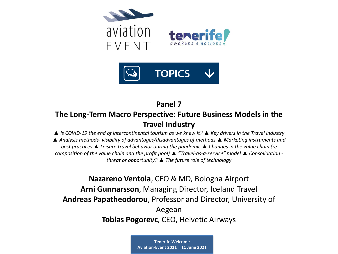

# **The Long-Term Macro Perspective: Future Business Models in the Travel Industry**

*▲ Is COVID-19 the end of intercontinental tourism as we knew it? ▲ Key drivers in the Travel industry ▲ Analysis methods- visibility of advantages/disadvantages of methods ▲ Marketing instruments and best practices ▲ Leisure travel behavior during the pandemic ▲ Changes in the value chain (re composition of the value chain and the profit pool) ▲ "Travel-as-a-service" model ▲ Consolidation threat or opportunity? ▲ The future role of technology*

**Nazareno Ventola**, CEO & MD, Bologna Airport **Arni Gunnarsson**, Managing Director, Iceland Travel **Andreas Papatheodorou**, Professor and Director, University of Aegean **Tobias Pogorevc**, CEO, Helvetic Airways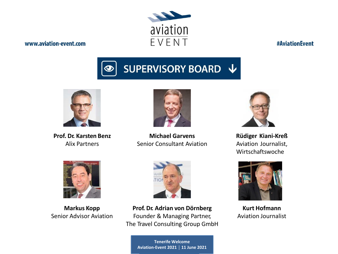# aviation EVENT

#### www.aviation-event.com

**#AviationEvent** 





**Prof. Dr. Karsten Benz** Alix Partners



**Michael Garvens** Senior Consultant Aviation



**Rüdiger Kiani-Kreß** Aviation Journalist, Wirtschaftswoche



**Markus Kopp** Senior Advisor Aviation



**Prof. Dr. Adrian von Dörnberg** Founder & Managing Partner, The Travel Consulting Group GmbH

> **Tenerife Welcome Aviation-Event 2021 │ 11 June 2021**



**Kurt Hofmann** Aviation Journalist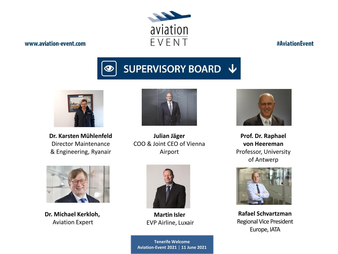# aviation EVENT

#### www.aviation-event.com

**#AviationEvent** 





**Dr. Karsten Mühlenfeld** Director Maintenance & Engineering, Ryanair



**Julian Jäger** COO & Joint CEO of Vienna Airport



**Dr. Michael Kerkloh,** Aviation Expert



**Martin Isler** EVP Airline, Luxair

**Tenerife Welcome**<br>Press Freest 2021 | 11 Iun **Aviation-Event 2021 │ 11 June 2021**



**Prof. Dr. Raphael von Heereman** Professor, University of Antwerp



**Rafael Schvartzman** Regional Vice President Europe, IATA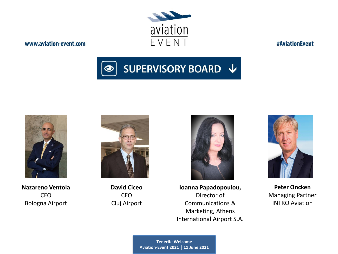#### **Tenerife Welcome**<br> **Priem Frent 2021** | 11 Iu **Aviation-Event 2021 │ 11 June 2021**

#### www.aviation-event.com

**Ioanna Papadopoulou,** Director of Communications & Marketing, Athens International Airport S.A.





**#AviationEvent** 

**Peter Oncken** Managing Partner INTRO Aviation







**Nazareno Ventola** CEO Bologna Airport

**David Ciceo** CEO Cluj Airport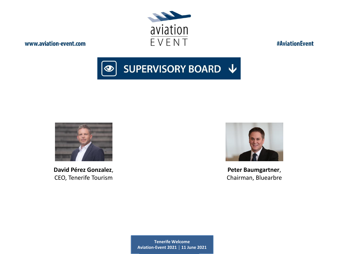

**#AviationEvent** 





**David Pérez Gonzalez**, CEO, Tenerife Tourism



**Peter Baumgartner**, Chairman, Bluearbre

**Tenerife Welcome Aviation-Event 2021 │ 11 June 2021**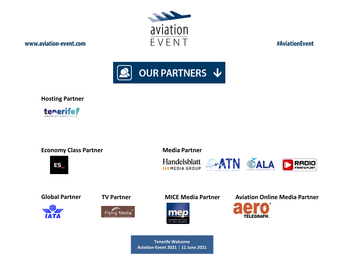

**#AviationEvent** 



**Hosting Partner**

tenerife

#### **Economy Class Partner**







**ES** 











#### **Global Partner TV Partner MICE Media Partner Aviation Online Media Partner**

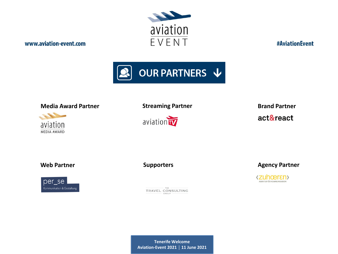

**#AviationEvent** 



#### **Media Award Partner Brand Partner Brand Partner Brand Partner**





act&react

**Web Partner**



**Supporters**

TRAVEL CONSULTING GROUP

**Agency Partner**

(Zuhœrɛn) AGENTUR FÜR KOMMUNIKATION